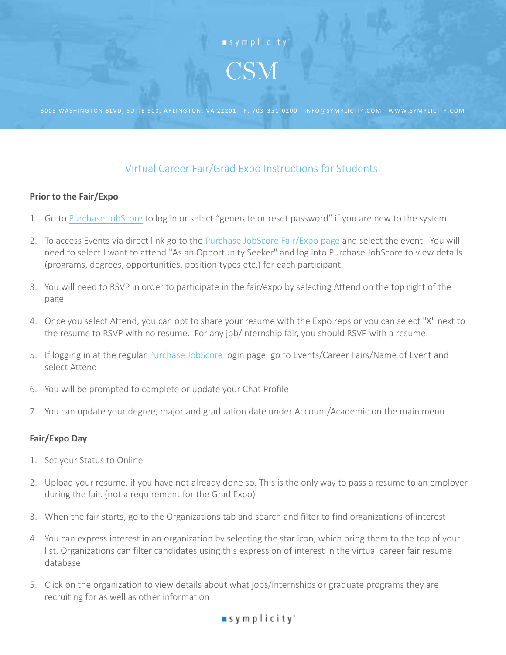

3003 WASHINGTON BLVD, SUITE 900, ARLINGTON, VA 22201 P: 703-351-0200 INFO@SYMPLICITY.COM WWW.SYMPLICITY.COM

## Virtual Career Fair/Grad Expo Instructions for Students

## **Prior to the Fair/Expo**

- 1. Go to [Purchase JobScore](https://suny-purchase-csm.symplicity.com/students/) to log in or select "generate or reset password" if you are new to the system
- 2. To access Events via direct link go to the [Purchase JobScore Fair/Expo page](https://suny-purchase-csm.symplicity.com/events) and select the event. You will need to select I want to attend "As an Opportunity Seeker" and log into Purchase JobScore to view details (programs, degrees, opportunities, position types etc.) for each participant.
- 3. You will need to RSVP in order to participate in the fair/expo by selecting Attend on the top right of the page.
- 4. Once you select Attend, you can opt to share your resume with the Expo reps or you can select "X" next to the resume to RSVP with no resume. For any job/internship fair, you should RSVP with a resume.
- 5. If logging in at the regular [Purchase JobScore](https://suny-purchase-csm.symplicity.com/students/) login page, go to Events/Career Fairs/Name of Event and select Attend
- 6. You will be prompted to complete or update your Chat Profile
- 7. You can update your degree, major and graduation date under Account/Academic on the main menu

## **Fair/Expo Day**

- 1. Set your Status to Online
- 2. Upload your resume, if you have not already done so. This is the only way to pass a resume to an employer during the fair. (not a requirement for the Grad Expo)
- 3. When the fair starts, go to the Organizations tab and search and filter to find organizations of interest
- 4. You can express interest in an organization by selecting the star icon, which bring them to the top of your list. Organizations can filter candidates using this expression of interest in the virtual career fair resume database.
- 5. Click on the organization to view details about what jobs/internships or graduate programs they are recruiting for as well as other information